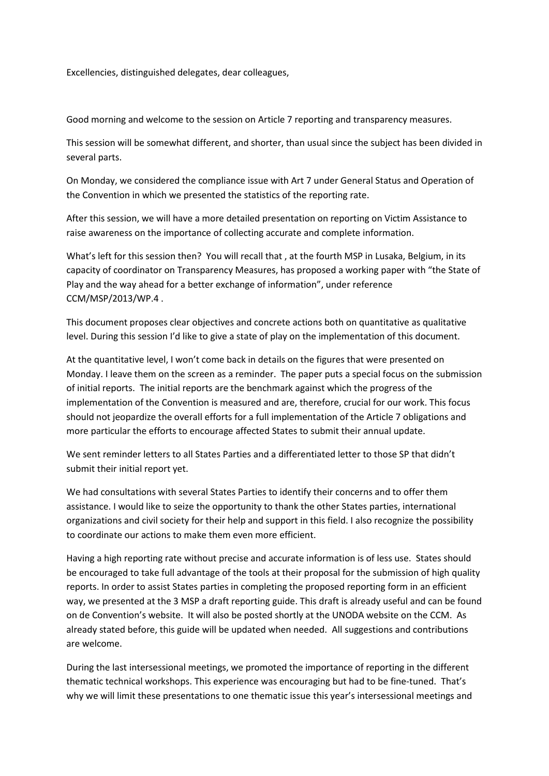Excellencies, distinguished delegates, dear colleagues,

Good morning and welcome to the session on Article 7 reporting and transparency measures.

This session will be somewhat different, and shorter, than usual since the subject has been divided in several parts.

On Monday, we considered the compliance issue with Art 7 under General Status and Operation of the Convention in which we presented the statistics of the reporting rate.

After this session, we will have a more detailed presentation on reporting on Victim Assistance to raise awareness on the importance of collecting accurate and complete information.

What's left for this session then? You will recall that , at the fourth MSP in Lusaka, Belgium, in its capacity of coordinator on Transparency Measures, has proposed a working paper with "the State of Play and the way ahead for a better exchange of information", under reference CCM/MSP/2013/WP.4 .

This document proposes clear objectives and concrete actions both on quantitative as qualitative level. During this session I'd like to give a state of play on the implementation of this document.

At the quantitative level, I won't come back in details on the figures that were presented on Monday. I leave them on the screen as a reminder. The paper puts a special focus on the submission of initial reports. The initial reports are the benchmark against which the progress of the implementation of the Convention is measured and are, therefore, crucial for our work. This focus should not jeopardize the overall efforts for a full implementation of the Article 7 obligations and more particular the efforts to encourage affected States to submit their annual update.

We sent reminder letters to all States Parties and a differentiated letter to those SP that didn't submit their initial report yet.

We had consultations with several States Parties to identify their concerns and to offer them assistance. I would like to seize the opportunity to thank the other States parties, international organizations and civil society for their help and support in this field. I also recognize the possibility to coordinate our actions to make them even more efficient.

Having a high reporting rate without precise and accurate information is of less use. States should be encouraged to take full advantage of the tools at their proposal for the submission of high quality reports. In order to assist States parties in completing the proposed reporting form in an efficient way, we presented at the 3 MSP a draft reporting guide. This draft is already useful and can be found on de Convention's website. It will also be posted shortly at the UNODA website on the CCM. As already stated before, this guide will be updated when needed. All suggestions and contributions are welcome.

During the last intersessional meetings, we promoted the importance of reporting in the different thematic technical workshops. This experience was encouraging but had to be fine-tuned. That's why we will limit these presentations to one thematic issue this year's intersessional meetings and